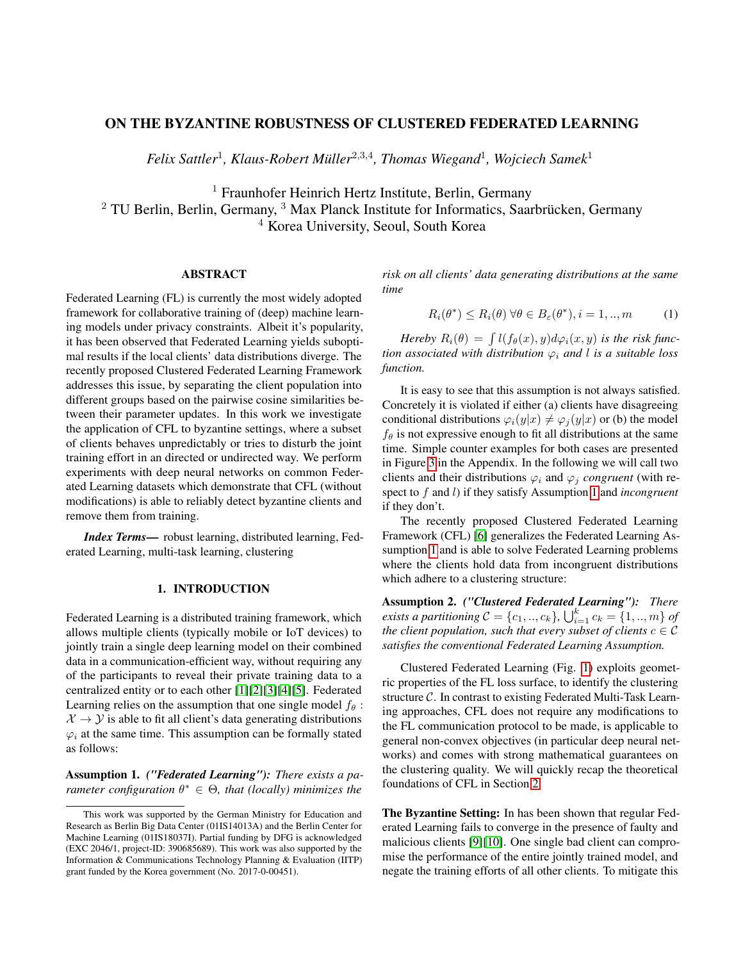# ON THE BYZANTINE ROBUSTNESS OF CLUSTERED FEDERATED LEARNING

*Felix Sattler*<sup>1</sup> *, Klaus-Robert Müller*<sup>2</sup>,3,<sup>4</sup> *, Thomas Wiegand*<sup>1</sup> *, Wojciech Samek*<sup>1</sup>

<sup>1</sup> Fraunhofer Heinrich Hertz Institute, Berlin, Germany

 $2$  TU Berlin, Berlin, Germany,  $3$  Max Planck Institute for Informatics, Saarbrücken, Germany <sup>4</sup> Korea University, Seoul, South Korea

### ABSTRACT

Federated Learning (FL) is currently the most widely adopted framework for collaborative training of (deep) machine learning models under privacy constraints. Albeit it's popularity, it has been observed that Federated Learning yields suboptimal results if the local clients' data distributions diverge. The recently proposed Clustered Federated Learning Framework addresses this issue, by separating the client population into different groups based on the pairwise cosine similarities between their parameter updates. In this work we investigate the application of CFL to byzantine settings, where a subset of clients behaves unpredictably or tries to disturb the joint training effort in an directed or undirected way. We perform experiments with deep neural networks on common Federated Learning datasets which demonstrate that CFL (without modifications) is able to reliably detect byzantine clients and remove them from training.

*Index Terms*— robust learning, distributed learning, Federated Learning, multi-task learning, clustering

### 1. INTRODUCTION

<span id="page-0-2"></span>Federated Learning is a distributed training framework, which allows multiple clients (typically mobile or IoT devices) to jointly train a single deep learning model on their combined data in a communication-efficient way, without requiring any of the participants to reveal their private training data to a centralized entity or to each other [\[1\]](#page-3-0)[\[2\]](#page-4-0)[\[3\]](#page-4-1)[\[4\]](#page-4-2)[\[5\]](#page-4-3). Federated Learning relies on the assumption that one single model  $f_{\theta}$ :  $X \rightarrow Y$  is able to fit all client's data generating distributions  $\varphi_i$  at the same time. This assumption can be formally stated as follows:

<span id="page-0-0"></span>Assumption 1. *("Federated Learning"): There exists a parameter configuration* θ <sup>∗</sup> ∈ Θ*, that (locally) minimizes the*

*risk on all clients' data generating distributions at the same time*

$$
R_i(\theta^*) \le R_i(\theta) \,\forall \theta \in B_{\varepsilon}(\theta^*), i = 1, ..., m \tag{1}
$$

*Hereby*  $R_i(\theta) = \int l(f_{\theta}(x), y) d\varphi_i(x, y)$  *is the risk function associated with distribution*  $\varphi_i$  *and* l *is a suitable loss function.*

It is easy to see that this assumption is not always satisfied. Concretely it is violated if either (a) clients have disagreeing conditional distributions  $\varphi_i(y|x) \neq \varphi_i(y|x)$  or (b) the model  $f_{\theta}$  is not expressive enough to fit all distributions at the same time. Simple counter examples for both cases are presented in Figure [3](#page-6-0) in the Appendix. In the following we will call two clients and their distributions  $\varphi_i$  and  $\varphi_j$  *congruent* (with respect to f and l) if they satisfy Assumption [1](#page-0-0) and *incongruent* if they don't.

The recently proposed Clustered Federated Learning Framework (CFL) [\[6\]](#page-4-4) generalizes the Federated Learning Assumption [1](#page-0-0) and is able to solve Federated Learning problems where the clients hold data from incongruent distributions which adhere to a clustering structure:

<span id="page-0-1"></span>Assumption 2. *("Clustered Federated Learning"): There exists a partitioning*  $C = \{c_1, ..., c_k\}$ ,  $\bigcup_{i=1}^k c_k = \{1, ..., m\}$  *of the client population, such that every subset of clients*  $c \in \mathcal{C}$ *satisfies the conventional Federated Learning Assumption.*

Clustered Federated Learning (Fig. [1\)](#page-1-0) exploits geometric properties of the FL loss surface, to identify the clustering structure C. In contrast to existing Federated Multi-Task Learning approaches, CFL does not require any modifications to the FL communication protocol to be made, is applicable to general non-convex objectives (in particular deep neural networks) and comes with strong mathematical guarantees on the clustering quality. We will quickly recap the theoretical foundations of CFL in Section [2.](#page-1-1)

The Byzantine Setting: In has been shown that regular Federated Learning fails to converge in the presence of faulty and malicious clients [\[9\]](#page-4-5)[\[10\]](#page-4-6). One single bad client can compromise the performance of the entire jointly trained model, and negate the training efforts of all other clients. To mitigate this

This work was supported by the German Ministry for Education and Research as Berlin Big Data Center (01IS14013A) and the Berlin Center for Machine Learning (01IS18037I). Partial funding by DFG is acknowledged (EXC 2046/1, project-ID: 390685689). This work was also supported by the Information & Communications Technology Planning & Evaluation (IITP) grant funded by the Korea government (No. 2017-0-00451).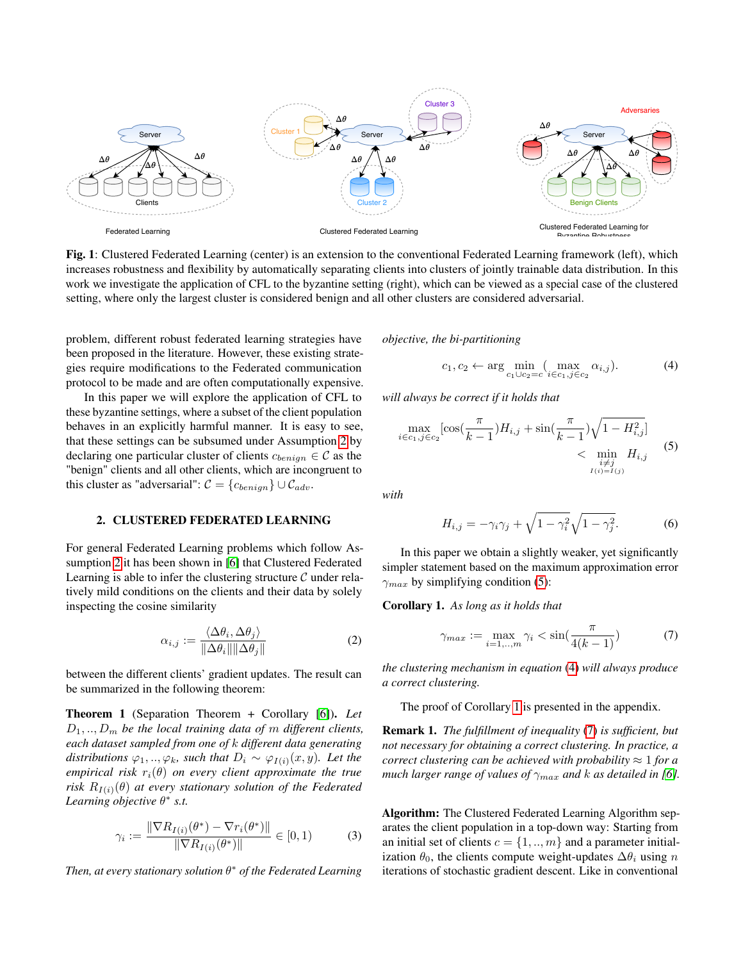<span id="page-1-0"></span>

Fig. 1: Clustered Federated Learning (center) is an extension to the conventional Federated Learning framework (left), which increases robustness and flexibility by automatically separating clients into clusters of jointly trainable data distribution. In this work we investigate the application of CFL to the byzantine setting (right), which can be viewed as a special case of the clustered setting, where only the largest cluster is considered benign and all other clusters are considered adversarial.

problem, different robust federated learning strategies have been proposed in the literature. However, these existing strategies require modifications to the Federated communication protocol to be made and are often computationally expensive.

In this paper we will explore the application of CFL to these byzantine settings, where a subset of the client population behaves in an explicitly harmful manner. It is easy to see, that these settings can be subsumed under Assumption [2](#page-0-1) by declaring one particular cluster of clients  $c_{benign} \in \mathcal{C}$  as the "benign" clients and all other clients, which are incongruent to this cluster as "adversarial":  $C = \{c_{benign}\} \cup C_{adv}$ .

#### <span id="page-1-1"></span>2. CLUSTERED FEDERATED LEARNING

For general Federated Learning problems which follow Assumption [2](#page-0-1) it has been shown in [\[6\]](#page-4-4) that Clustered Federated Learning is able to infer the clustering structure  $\mathcal C$  under relatively mild conditions on the clients and their data by solely inspecting the cosine similarity

$$
\alpha_{i,j} := \frac{\langle \Delta \theta_i, \Delta \theta_j \rangle}{\|\Delta \theta_i\| \|\Delta \theta_j\|} \tag{2}
$$

between the different clients' gradient updates. The result can be summarized in the following theorem:

<span id="page-1-6"></span>Theorem 1 (Separation Theorem + Corollary [\[6\]](#page-4-4)). *Let*  $D_1, \ldots, D_m$  be the local training data of m different clients, *each dataset sampled from one of* k *different data generating distributions*  $\varphi_1, ..., \varphi_k$ *, such that*  $D_i \sim \varphi_{I(i)}(x, y)$ *. Let the empirical risk*  $r_i(\theta)$  *on every client approximate the true risk*  $R_{I(i)}(\theta)$  *at every stationary solution of the Federated Learning objective* θ ∗ *s.t.*

$$
\gamma_i := \frac{\|\nabla R_{I(i)}(\theta^*) - \nabla r_i(\theta^*)\|}{\|\nabla R_{I(i)}(\theta^*)\|} \in [0, 1)
$$
 (3)

*Then, at every stationary solution* θ <sup>∗</sup> *of the Federated Learning*

*objective, the bi-partitioning*

<span id="page-1-3"></span><span id="page-1-2"></span>
$$
c_1, c_2 \leftarrow \arg\min_{c_1 \cup c_2 = c} (\max_{i \in c_1, j \in c_2} \alpha_{i,j}). \tag{4}
$$

*will always be correct if it holds that*

$$
\max_{i \in c_1, j \in c_2} [\cos(\frac{\pi}{k-1}) H_{i,j} + \sin(\frac{\pi}{k-1}) \sqrt{1 - H_{i,j}^2}]
$$
\n
$$
< \min_{\substack{i \neq j \\ I(i) = I(j)}} H_{i,j} \tag{5}
$$

*with*

$$
H_{i,j} = -\gamma_i \gamma_j + \sqrt{1 - \gamma_i^2} \sqrt{1 - \gamma_j^2}.
$$
 (6)

In this paper we obtain a slightly weaker, yet significantly simpler statement based on the maximum approximation error  $\gamma_{max}$  by simplifying condition [\(5\)](#page-1-2):

<span id="page-1-4"></span>Corollary 1. *As long as it holds that*

<span id="page-1-5"></span>
$$
\gamma_{max} := \max_{i=1,\dots,m} \gamma_i < \sin\left(\frac{\pi}{4(k-1)}\right) \tag{7}
$$

*the clustering mechanism in equation* [\(4\)](#page-1-3) *will always produce a correct clustering.*

The proof of Corollary [1](#page-1-4) is presented in the appendix.

Remark 1. *The fulfillment of inequality* [\(7\)](#page-1-5) *is sufficient, but not necessary for obtaining a correct clustering. In practice, a correct clustering can be achieved with probability*  $\approx 1$  *for a much larger range of values of*  $\gamma_{max}$  *and k as detailed in [\[6\]](#page-4-4).* 

Algorithm: The Clustered Federated Learning Algorithm separates the client population in a top-down way: Starting from an initial set of clients  $c = \{1, ..., m\}$  and a parameter initialization  $\theta_0$ , the clients compute weight-updates  $\Delta\theta_i$  using n iterations of stochastic gradient descent. Like in conventional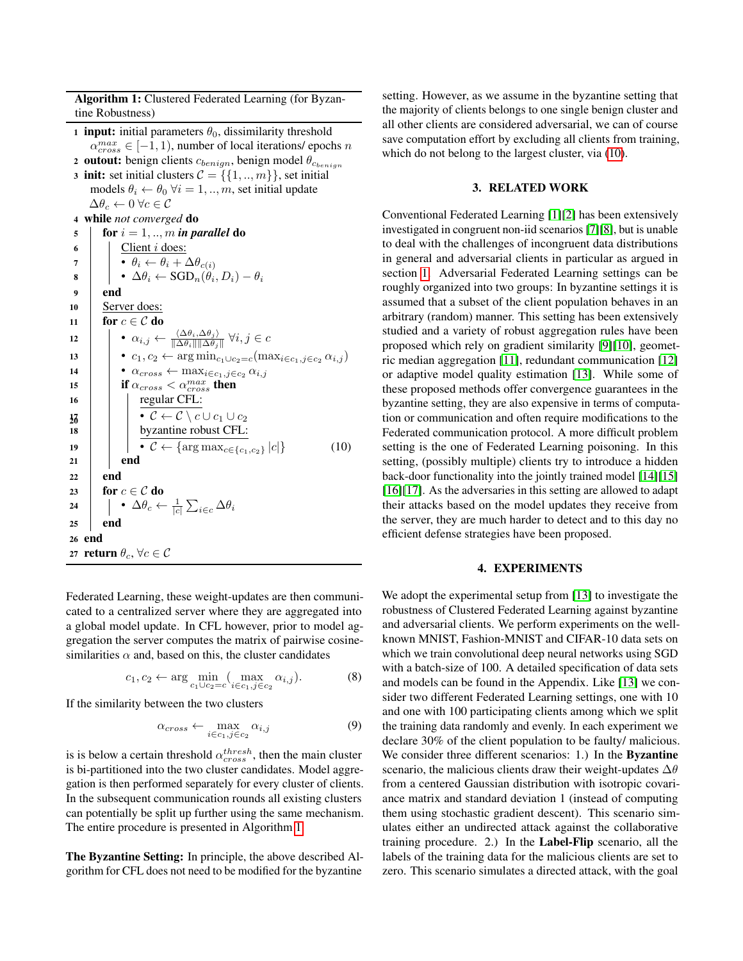Algorithm 1: Clustered Federated Learning (for Byzantine Robustness)

<span id="page-2-0"></span>1 **input:** initial parameters  $\theta_0$ , dissimilarity threshold  $\alpha_{cross}^{max} \in [-1, 1)$ , number of local iterations/ epochs n 2 outout: benign clients  $c_{benign}$ , benign model  $\theta_{c_{benign}}$ 3 init: set initial clusters  $C = \{\{1, ..., m\}\}\$ , set initial models  $\theta_i \leftarrow \theta_0 \ \forall i = 1, ..., m$ , set initial update  $\Delta\theta_c \leftarrow 0 \ \forall c \in \mathcal{C}$ <sup>4</sup> while *not converged* do 5 for  $i = 1, ..., m$  *in parallel* do  $\begin{array}{c|c} \hline \hline \hline \end{array}$  Client *i* does: 7  $\vert \vert \cdot \theta_i \leftarrow \theta_i + \Delta \theta_{c(i)}$  $\begin{array}{cc} \mathbf{s} & | & | & \bullet \ \Delta \theta_i \leftarrow \text{SGD}_n(\theta_i, D_i) - \theta_i \end{array}$ 9 end 10 | Server does: 11 for  $c \in \mathcal{C}$  do 12  $\|\cdot\|$  •  $\alpha_{i,j} \leftarrow \frac{\langle \Delta \theta_i, \Delta \theta_j \rangle}{\|\Delta \theta_i\| \|\Delta \theta_j\|}$  $\frac{\langle \Delta \theta_i, \Delta \theta_j \rangle}{\|\Delta \theta_i\| \|\Delta \theta_j\|} \ \forall i, j \in c$ 13  $| \cdot c_1, c_2 \leftarrow \arg \min_{c_1 \cup c_2 = c} (\max_{i \in c_1, j \in c_2} \alpha_{i,j})$ 14  $\vert \cdot \vert \cdot \alpha_{cross} \leftarrow \max_{i \in c_1, j \in c_2} \alpha_{i,j}$ 15 **if**  $\alpha_{cross} < \alpha_{cross}^{max}$  then 16 | | regular CFL:  $\bullet \mathcal{C} \leftarrow \mathcal{C} \setminus c \cup c_1 \cup c_2$ 18 byzantine robust CFL: 19  $\left| \left| \right| \right| \cdot \mathcal{C} \leftarrow \left\{ \arg \max_{c \in \{c_1, c_2\}} |c| \right\}$ 20 (10)  $21$  end  $22$  end 23 for  $c \in \mathcal{C}$  do 24  $\left|\quad\right|$  •  $\Delta\theta_c \leftarrow \frac{1}{|c|} \sum_{i \in c} \Delta\theta_i$  $25$  end 26 end 27 return  $\theta_c$ ,  $\forall c \in \mathcal{C}$ 

Federated Learning, these weight-updates are then communicated to a centralized server where they are aggregated into a global model update. In CFL however, prior to model aggregation the server computes the matrix of pairwise cosinesimilarities  $\alpha$  and, based on this, the cluster candidates

$$
c_1, c_2 \leftarrow \arg\min_{c_1 \cup c_2 = c} (\max_{i \in c_1, j \in c_2} \alpha_{i,j}). \tag{8}
$$

If the similarity between the two clusters

$$
\alpha_{cross} \leftarrow \max_{i \in c_1, j \in c_2} \alpha_{i,j} \tag{9}
$$

is is below a certain threshold  $\alpha_{cross}^{thresh}$ , then the main cluster is bi-partitioned into the two cluster candidates. Model aggregation is then performed separately for every cluster of clients. In the subsequent communication rounds all existing clusters can potentially be split up further using the same mechanism. The entire procedure is presented in Algorithm [1.](#page-2-0)

The Byzantine Setting: In principle, the above described Algorithm for CFL does not need to be modified for the byzantine

setting. However, as we assume in the byzantine setting that the majority of clients belongs to one single benign cluster and all other clients are considered adversarial, we can of course save computation effort by excluding all clients from training, which do not belong to the largest cluster, via [\(10\)](#page-2-1).

### 3. RELATED WORK

Conventional Federated Learning [\[1\]](#page-3-0)[\[2\]](#page-4-0) has been extensively investigated in congruent non-iid scenarios [\[7\]](#page-4-7)[\[8\]](#page-4-8), but is unable to deal with the challenges of incongruent data distributions in general and adversarial clients in particular as argued in section [1.](#page-0-2) Adversarial Federated Learning settings can be roughly organized into two groups: In byzantine settings it is assumed that a subset of the client population behaves in an arbitrary (random) manner. This setting has been extensively studied and a variety of robust aggregation rules have been proposed which rely on gradient similarity [\[9\]](#page-4-5)[\[10\]](#page-4-6), geometric median aggregation [\[11\]](#page-4-9), redundant communication [\[12\]](#page-4-10) or adaptive model quality estimation [\[13\]](#page-4-11). While some of these proposed methods offer convergence guarantees in the byzantine setting, they are also expensive in terms of computation or communication and often require modifications to the Federated communication protocol. A more difficult problem setting is the one of Federated Learning poisoning. In this setting, (possibly multiple) clients try to introduce a hidden back-door functionality into the jointly trained model [\[14\]](#page-4-12)[\[15\]](#page-4-13) [\[16\]](#page-4-14)[\[17\]](#page-4-15). As the adversaries in this setting are allowed to adapt their attacks based on the model updates they receive from the server, they are much harder to detect and to this day no efficient defense strategies have been proposed.

#### 4. EXPERIMENTS

<span id="page-2-1"></span>We adopt the experimental setup from [\[13\]](#page-4-11) to investigate the robustness of Clustered Federated Learning against byzantine and adversarial clients. We perform experiments on the wellknown MNIST, Fashion-MNIST and CIFAR-10 data sets on which we train convolutional deep neural networks using SGD with a batch-size of 100. A detailed specification of data sets and models can be found in the Appendix. Like [\[13\]](#page-4-11) we consider two different Federated Learning settings, one with 10 and one with 100 participating clients among which we split the training data randomly and evenly. In each experiment we declare 30% of the client population to be faulty/ malicious. We consider three different scenarios: 1.) In the **Byzantine** scenario, the malicious clients draw their weight-updates  $\Delta\theta$ from a centered Gaussian distribution with isotropic covariance matrix and standard deviation 1 (instead of computing them using stochastic gradient descent). This scenario simulates either an undirected attack against the collaborative training procedure. 2.) In the Label-Flip scenario, all the labels of the training data for the malicious clients are set to zero. This scenario simulates a directed attack, with the goal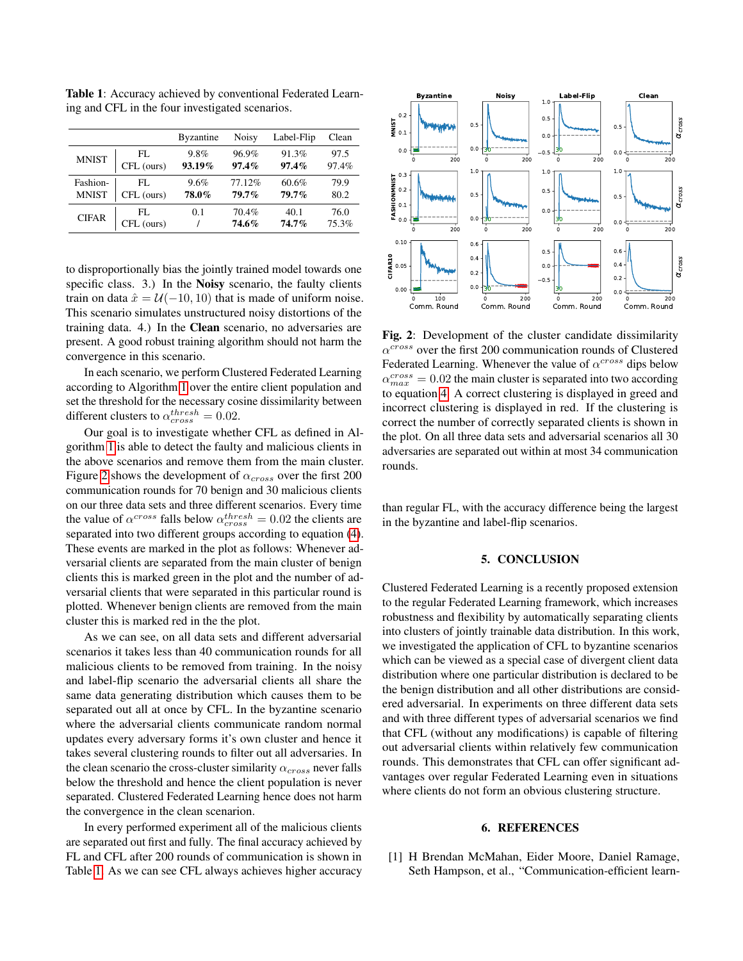<span id="page-3-2"></span>Table 1: Accuracy achieved by conventional Federated Learning and CFL in the four investigated scenarios.

|              |                   | <b>Byzantine</b> | <b>Noisy</b>   | Label-Flip       | Clean         |
|--------------|-------------------|------------------|----------------|------------------|---------------|
| <b>MNIST</b> | FL.               | $9.8\%$          | 96.9%          | 91.3%            | 97.5          |
|              | CFL (ours)        | 93.19%           | $97.4\%$       | 97.4%            | 97.4%         |
| Fashion-     | FL.               | 9.6%             | 77.12%         | 60.6%            | 79.9          |
| <b>MNIST</b> | CFL (ours)        | 78.0%            | $79.7\%$       | $79.7\%$         | 80.2          |
| <b>CIFAR</b> | FL.<br>CFL (ours) | 0.1              | 70.4%<br>74.6% | 40.1<br>$74.7\%$ | 76.0<br>75.3% |

to disproportionally bias the jointly trained model towards one specific class. 3.) In the **Noisy** scenario, the faulty clients train on data  $\hat{x} = \mathcal{U}(-10, 10)$  that is made of uniform noise. This scenario simulates unstructured noisy distortions of the training data. 4.) In the Clean scenario, no adversaries are present. A good robust training algorithm should not harm the convergence in this scenario.

In each scenario, we perform Clustered Federated Learning according to Algorithm [1](#page-2-0) over the entire client population and set the threshold for the necessary cosine dissimilarity between different clusters to  $\alpha_{cross}^{thresh} = 0.02$ .

Our goal is to investigate whether CFL as defined in Algorithm [1](#page-2-0) is able to detect the faulty and malicious clients in the above scenarios and remove them from the main cluster. Figure [2](#page-3-1) shows the development of  $\alpha_{cross}$  over the first 200 communication rounds for 70 benign and 30 malicious clients on our three data sets and three different scenarios. Every time the value of  $\alpha^{cross}$  falls below  $\alpha^{thresh}_{cross} = 0.02$  the clients are separated into two different groups according to equation [\(4\)](#page-1-3). These events are marked in the plot as follows: Whenever adversarial clients are separated from the main cluster of benign clients this is marked green in the plot and the number of adversarial clients that were separated in this particular round is plotted. Whenever benign clients are removed from the main cluster this is marked red in the the plot.

As we can see, on all data sets and different adversarial scenarios it takes less than 40 communication rounds for all malicious clients to be removed from training. In the noisy and label-flip scenario the adversarial clients all share the same data generating distribution which causes them to be separated out all at once by CFL. In the byzantine scenario where the adversarial clients communicate random normal updates every adversary forms it's own cluster and hence it takes several clustering rounds to filter out all adversaries. In the clean scenario the cross-cluster similarity  $\alpha_{cross}$  never falls below the threshold and hence the client population is never separated. Clustered Federated Learning hence does not harm the convergence in the clean scenarion.

In every performed experiment all of the malicious clients are separated out first and fully. The final accuracy achieved by FL and CFL after 200 rounds of communication is shown in Table [1.](#page-3-2) As we can see CFL always achieves higher accuracy

<span id="page-3-1"></span>

Fig. 2: Development of the cluster candidate dissimilarity  $\alpha^{cross}$  over the first 200 communication rounds of Clustered Federated Learning. Whenever the value of  $\alpha^{cross}$  dips below  $\alpha_{max}^{cross} = 0.02$  the main cluster is separated into two according to equation [4.](#page-1-3) A correct clustering is displayed in greed and incorrect clustering is displayed in red. If the clustering is correct the number of correctly separated clients is shown in the plot. On all three data sets and adversarial scenarios all 30 adversaries are separated out within at most 34 communication rounds.

than regular FL, with the accuracy difference being the largest in the byzantine and label-flip scenarios.

## 5. CONCLUSION

Clustered Federated Learning is a recently proposed extension to the regular Federated Learning framework, which increases robustness and flexibility by automatically separating clients into clusters of jointly trainable data distribution. In this work, we investigated the application of CFL to byzantine scenarios which can be viewed as a special case of divergent client data distribution where one particular distribution is declared to be the benign distribution and all other distributions are considered adversarial. In experiments on three different data sets and with three different types of adversarial scenarios we find that CFL (without any modifications) is capable of filtering out adversarial clients within relatively few communication rounds. This demonstrates that CFL can offer significant advantages over regular Federated Learning even in situations where clients do not form an obvious clustering structure.

#### 6. REFERENCES

<span id="page-3-0"></span>[1] H Brendan McMahan, Eider Moore, Daniel Ramage, Seth Hampson, et al., "Communication-efficient learn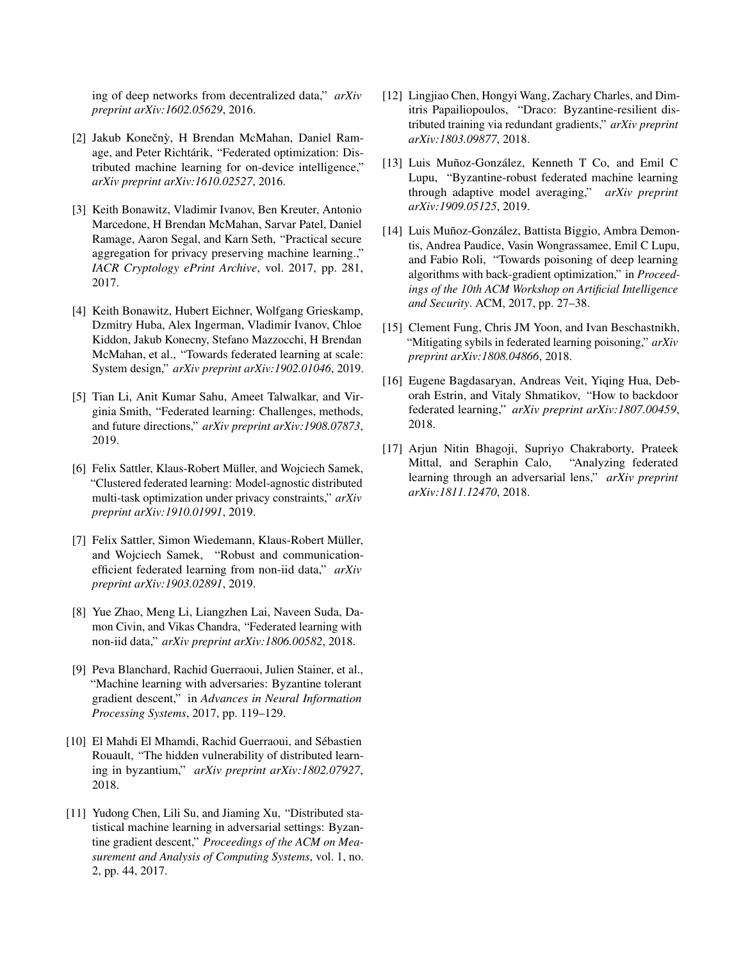ing of deep networks from decentralized data," *arXiv preprint arXiv:1602.05629*, 2016.

- <span id="page-4-0"></span>[2] Jakub Konečnỳ, H Brendan McMahan, Daniel Ramage, and Peter Richtárik, "Federated optimization: Distributed machine learning for on-device intelligence," *arXiv preprint arXiv:1610.02527*, 2016.
- <span id="page-4-1"></span>[3] Keith Bonawitz, Vladimir Ivanov, Ben Kreuter, Antonio Marcedone, H Brendan McMahan, Sarvar Patel, Daniel Ramage, Aaron Segal, and Karn Seth, "Practical secure aggregation for privacy preserving machine learning.," *IACR Cryptology ePrint Archive*, vol. 2017, pp. 281, 2017.
- <span id="page-4-2"></span>[4] Keith Bonawitz, Hubert Eichner, Wolfgang Grieskamp, Dzmitry Huba, Alex Ingerman, Vladimir Ivanov, Chloe Kiddon, Jakub Konecny, Stefano Mazzocchi, H Brendan McMahan, et al., "Towards federated learning at scale: System design," *arXiv preprint arXiv:1902.01046*, 2019.
- <span id="page-4-3"></span>[5] Tian Li, Anit Kumar Sahu, Ameet Talwalkar, and Virginia Smith, "Federated learning: Challenges, methods, and future directions," *arXiv preprint arXiv:1908.07873*, 2019.
- <span id="page-4-4"></span>[6] Felix Sattler, Klaus-Robert Müller, and Wojciech Samek, "Clustered federated learning: Model-agnostic distributed multi-task optimization under privacy constraints," *arXiv preprint arXiv:1910.01991*, 2019.
- <span id="page-4-7"></span>[7] Felix Sattler, Simon Wiedemann, Klaus-Robert Müller, and Wojciech Samek, "Robust and communicationefficient federated learning from non-iid data," *arXiv preprint arXiv:1903.02891*, 2019.
- <span id="page-4-8"></span>[8] Yue Zhao, Meng Li, Liangzhen Lai, Naveen Suda, Damon Civin, and Vikas Chandra, "Federated learning with non-iid data," *arXiv preprint arXiv:1806.00582*, 2018.
- <span id="page-4-5"></span>[9] Peva Blanchard, Rachid Guerraoui, Julien Stainer, et al., "Machine learning with adversaries: Byzantine tolerant gradient descent," in *Advances in Neural Information Processing Systems*, 2017, pp. 119–129.
- <span id="page-4-6"></span>[10] El Mahdi El Mhamdi, Rachid Guerraoui, and Sébastien Rouault, "The hidden vulnerability of distributed learning in byzantium," *arXiv preprint arXiv:1802.07927*, 2018.
- <span id="page-4-9"></span>[11] Yudong Chen, Lili Su, and Jiaming Xu, "Distributed statistical machine learning in adversarial settings: Byzantine gradient descent," *Proceedings of the ACM on Measurement and Analysis of Computing Systems*, vol. 1, no. 2, pp. 44, 2017.
- <span id="page-4-10"></span>[12] Lingjiao Chen, Hongyi Wang, Zachary Charles, and Dimitris Papailiopoulos, "Draco: Byzantine-resilient distributed training via redundant gradients," *arXiv preprint arXiv:1803.09877*, 2018.
- <span id="page-4-11"></span>[13] Luis Muñoz-González, Kenneth T Co, and Emil C Lupu, "Byzantine-robust federated machine learning through adaptive model averaging," *arXiv preprint arXiv:1909.05125*, 2019.
- <span id="page-4-12"></span>[14] Luis Muñoz-González, Battista Biggio, Ambra Demontis, Andrea Paudice, Vasin Wongrassamee, Emil C Lupu, and Fabio Roli, "Towards poisoning of deep learning algorithms with back-gradient optimization," in *Proceedings of the 10th ACM Workshop on Artificial Intelligence and Security*. ACM, 2017, pp. 27–38.
- <span id="page-4-13"></span>[15] Clement Fung, Chris JM Yoon, and Ivan Beschastnikh, "Mitigating sybils in federated learning poisoning," *arXiv preprint arXiv:1808.04866*, 2018.
- <span id="page-4-14"></span>[16] Eugene Bagdasaryan, Andreas Veit, Yiqing Hua, Deborah Estrin, and Vitaly Shmatikov, "How to backdoor federated learning," *arXiv preprint arXiv:1807.00459*, 2018.
- <span id="page-4-15"></span>[17] Arjun Nitin Bhagoji, Supriyo Chakraborty, Prateek Mittal, and Seraphin Calo, "Analyzing federated learning through an adversarial lens," *arXiv preprint arXiv:1811.12470*, 2018.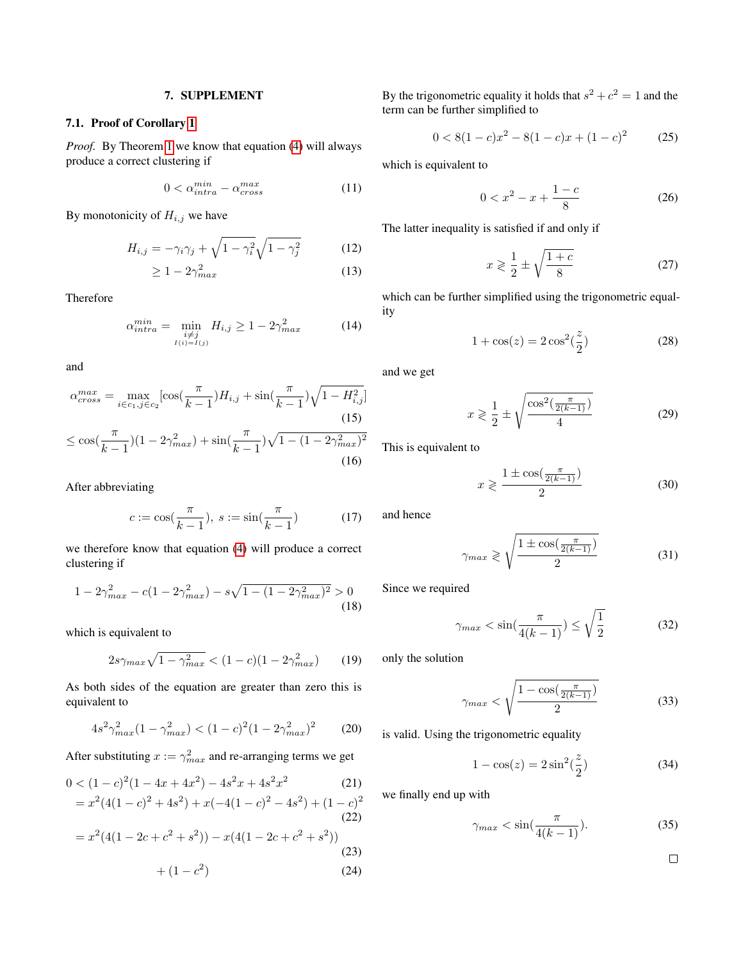# 7. SUPPLEMENT

# 7.1. Proof of Corollary [1](#page-1-4)

*Proof.* By Theorem [1](#page-1-6) we know that equation [\(4\)](#page-1-3) will always produce a correct clustering if

$$
0 < \alpha_{intra}^{min} - \alpha_{cross}^{max} \tag{11}
$$

By monotonicity of  $H_{i,j}$  we have

$$
H_{i,j} = -\gamma_i \gamma_j + \sqrt{1 - \gamma_i^2} \sqrt{1 - \gamma_j^2}
$$
 (12)

$$
\geq 1 - 2\gamma_{max}^2 \tag{13}
$$

Therefore

$$
\alpha_{intra}^{min} = \min_{\substack{i \neq j \\ I(i) = I(j)}} H_{i,j} \ge 1 - 2\gamma_{max}^2 \tag{14}
$$

and

$$
\alpha_{cross}^{max} = \max_{i \in c_1, j \in c_2} [\cos(\frac{\pi}{k-1})H_{i,j} + \sin(\frac{\pi}{k-1})\sqrt{1 - H_{i,j}^2}]
$$
\n
$$
\leq \cos(\frac{\pi}{k-1})(1 - 2\gamma_{max}^2) + \sin(\frac{\pi}{k-1})\sqrt{1 - (1 - 2\gamma_{max}^2)^2}
$$
\n(16)

After abbreviating

$$
c := \cos(\frac{\pi}{k-1}), \ s := \sin(\frac{\pi}{k-1}) \tag{17}
$$

we therefore know that equation [\(4\)](#page-1-3) will produce a correct clustering if

$$
1 - 2\gamma_{max}^2 - c(1 - 2\gamma_{max}^2) - s\sqrt{1 - (1 - 2\gamma_{max}^2)^2} > 0
$$
\n(18)

which is equivalent to

$$
2s\gamma_{max}\sqrt{1-\gamma_{max}^2} < (1-c)(1-2\gamma_{max}^2) \tag{19}
$$

As both sides of the equation are greater than zero this is equivalent to

$$
4s^2\gamma_{max}^2(1-\gamma_{max}^2) < (1-c)^2(1-2\gamma_{max}^2)^2 \tag{20}
$$

After substituting  $x := \gamma_{max}^2$  and re-arranging terms we get

$$
0 < (1-c)^2 (1-4x+4x^2) - 4s^2x + 4s^2x^2 \tag{21}
$$

$$
= x2(4(1 - c)2 + 4s2) + x(-4(1 - c)2 - 4s2) + (1 - c)2
$$
\n(22)

$$
=x^{2}(4(1-2c+c^{2}+s^{2}))-x(4(1-2c+c^{2}+s^{2}))
$$
\n(23)

$$
+(1-c^2)\tag{24}
$$

By the trigonometric equality it holds that  $s^2 + c^2 = 1$  and the term can be further simplified to

$$
0 < 8(1-c)x^2 - 8(1-c)x + (1-c)^2 \tag{25}
$$

which is equivalent to

$$
0 < x^2 - x + \frac{1 - c}{8} \tag{26}
$$

The latter inequality is satisfied if and only if

$$
x \geqslant \frac{1}{2} \pm \sqrt{\frac{1+c}{8}}\tag{27}
$$

which can be further simplified using the trigonometric equality

$$
1 + \cos(z) = 2\cos^2(\frac{z}{2})
$$
 (28)

and we get

$$
x \geqslant \frac{1}{2} \pm \sqrt{\frac{\cos^2(\frac{\pi}{2(k-1)})}{4}}\tag{29}
$$

This is equivalent to

$$
x \geqslant \frac{1 \pm \cos\left(\frac{\pi}{2(k-1)}\right)}{2} \tag{30}
$$

and hence

$$
\gamma_{max} \geqslant \sqrt{\frac{1 \pm \cos(\frac{\pi}{2(k-1)})}{2}} \tag{31}
$$

Since we required

$$
\gamma_{max} < \sin\left(\frac{\pi}{4(k-1)}\right) \le \sqrt{\frac{1}{2}} \tag{32}
$$

only the solution

$$
\gamma_{max} < \sqrt{\frac{1 - \cos(\frac{\pi}{2(k-1)})}{2}} \tag{33}
$$

is valid. Using the trigonometric equality

$$
1 - \cos(z) = 2\sin^2(\frac{z}{2})\tag{34}
$$

we finally end up with

$$
\gamma_{max} < \sin\left(\frac{\pi}{4(k-1)}\right). \tag{35}
$$

 $\Box$